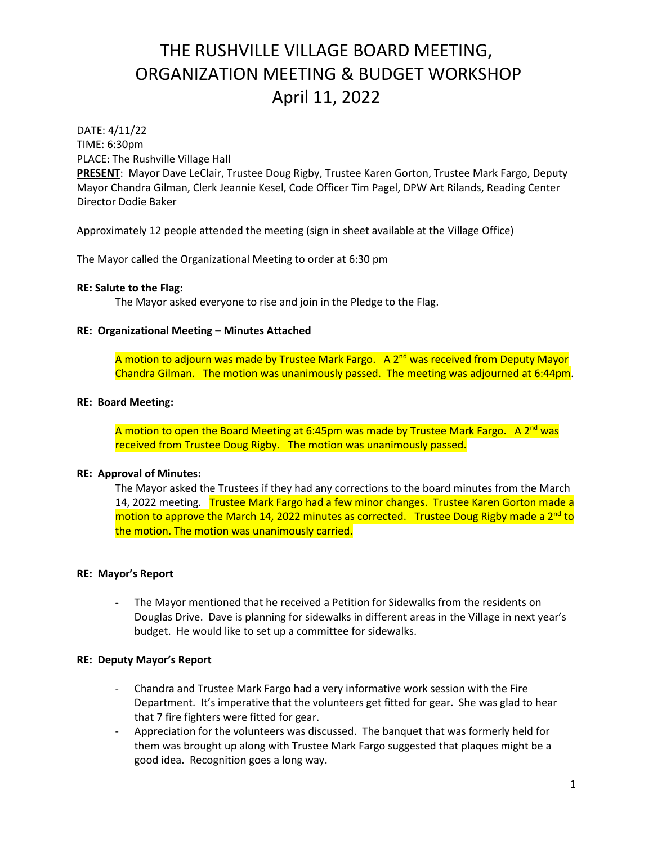DATE: 4/11/22

TIME: 6:30pm PLACE: The Rushville Village Hall

**PRESENT**: Mayor Dave LeClair, Trustee Doug Rigby, Trustee Karen Gorton, Trustee Mark Fargo, Deputy Mayor Chandra Gilman, Clerk Jeannie Kesel, Code Officer Tim Pagel, DPW Art Rilands, Reading Center Director Dodie Baker

Approximately 12 people attended the meeting (sign in sheet available at the Village Office)

The Mayor called the Organizational Meeting to order at 6:30 pm

#### **RE: Salute to the Flag:**

The Mayor asked everyone to rise and join in the Pledge to the Flag.

#### **RE: Organizational Meeting – Minutes Attached**

A motion to adjourn was made by Trustee Mark Fargo. A 2<sup>nd</sup> was received from Deputy Mayor Chandra Gilman. The motion was unanimously passed. The meeting was adjourned at 6:44pm.

#### **RE: Board Meeting:**

A motion to open the Board Meeting at 6:45pm was made by Trustee Mark Fargo. A 2<sup>nd</sup> was received from Trustee Doug Rigby. The motion was unanimously passed.

#### **RE: Approval of Minutes:**

The Mayor asked the Trustees if they had any corrections to the board minutes from the March 14, 2022 meeting. Trustee Mark Fargo had a few minor changes. Trustee Karen Gorton made a motion to approve the March 14, 2022 minutes as corrected. Trustee Doug Rigby made a 2<sup>nd</sup> to the motion. The motion was unanimously carried.

#### **RE: Mayor's Report**

**-** The Mayor mentioned that he received a Petition for Sidewalks from the residents on Douglas Drive. Dave is planning for sidewalks in different areas in the Village in next year's budget. He would like to set up a committee for sidewalks.

#### **RE: Deputy Mayor's Report**

- Chandra and Trustee Mark Fargo had a very informative work session with the Fire Department. It's imperative that the volunteers get fitted for gear. She was glad to hear that 7 fire fighters were fitted for gear.
- Appreciation for the volunteers was discussed. The banquet that was formerly held for them was brought up along with Trustee Mark Fargo suggested that plaques might be a good idea. Recognition goes a long way.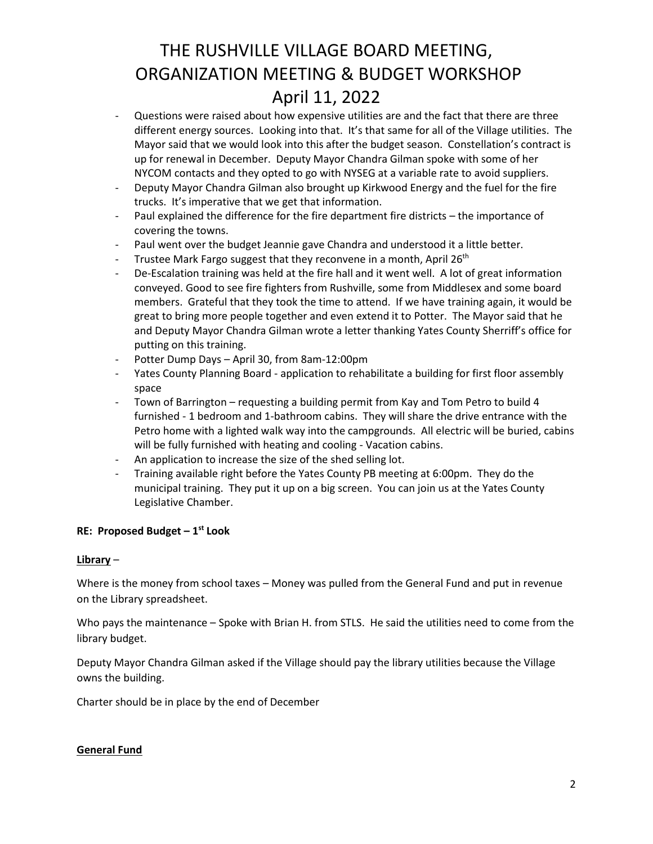- Questions were raised about how expensive utilities are and the fact that there are three different energy sources. Looking into that. It's that same for all of the Village utilities. The Mayor said that we would look into this after the budget season. Constellation's contract is up for renewal in December. Deputy Mayor Chandra Gilman spoke with some of her NYCOM contacts and they opted to go with NYSEG at a variable rate to avoid suppliers.
- Deputy Mayor Chandra Gilman also brought up Kirkwood Energy and the fuel for the fire trucks. It's imperative that we get that information.
- Paul explained the difference for the fire department fire districts the importance of covering the towns.
- Paul went over the budget Jeannie gave Chandra and understood it a little better.
- Trustee Mark Fargo suggest that they reconvene in a month, April  $26<sup>th</sup>$
- De-Escalation training was held at the fire hall and it went well. A lot of great information conveyed. Good to see fire fighters from Rushville, some from Middlesex and some board members. Grateful that they took the time to attend. If we have training again, it would be great to bring more people together and even extend it to Potter. The Mayor said that he and Deputy Mayor Chandra Gilman wrote a letter thanking Yates County Sherriff's office for putting on this training.
- Potter Dump Days April 30, from 8am-12:00pm
- Yates County Planning Board application to rehabilitate a building for first floor assembly space
- Town of Barrington requesting a building permit from Kay and Tom Petro to build 4 furnished - 1 bedroom and 1-bathroom cabins. They will share the drive entrance with the Petro home with a lighted walk way into the campgrounds. All electric will be buried, cabins will be fully furnished with heating and cooling - Vacation cabins.
- An application to increase the size of the shed selling lot.
- Training available right before the Yates County PB meeting at 6:00pm. They do the municipal training. They put it up on a big screen. You can join us at the Yates County Legislative Chamber.

### **RE: Proposed Budget – 1 st Look**

### **Library** –

Where is the money from school taxes – Money was pulled from the General Fund and put in revenue on the Library spreadsheet.

Who pays the maintenance – Spoke with Brian H. from STLS. He said the utilities need to come from the library budget.

Deputy Mayor Chandra Gilman asked if the Village should pay the library utilities because the Village owns the building.

Charter should be in place by the end of December

### **General Fund**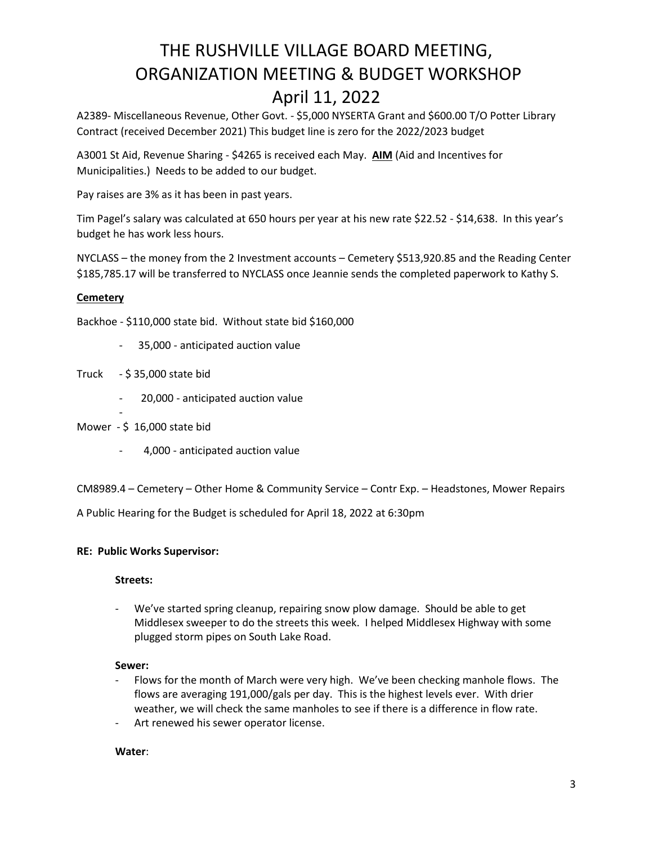A2389- Miscellaneous Revenue, Other Govt. - \$5,000 NYSERTA Grant and \$600.00 T/O Potter Library Contract (received December 2021) This budget line is zero for the 2022/2023 budget

A3001 St Aid, Revenue Sharing - \$4265 is received each May. **AIM** (Aid and Incentives for Municipalities.) Needs to be added to our budget.

Pay raises are 3% as it has been in past years.

Tim Pagel's salary was calculated at 650 hours per year at his new rate \$22.52 - \$14,638. In this year's budget he has work less hours.

NYCLASS – the money from the 2 Investment accounts – Cemetery \$513,920.85 and the Reading Center \$185,785.17 will be transferred to NYCLASS once Jeannie sends the completed paperwork to Kathy S.

#### **Cemetery**

Backhoe - \$110,000 state bid. Without state bid \$160,000

- 35,000 anticipated auction value
- Truck \$ 35,000 state bid
	- 20,000 anticipated auction value
- Mower \$ 16,000 state bid

-

4,000 - anticipated auction value

CM8989.4 – Cemetery – Other Home & Community Service – Contr Exp. – Headstones, Mower Repairs

A Public Hearing for the Budget is scheduled for April 18, 2022 at 6:30pm

#### **RE: Public Works Supervisor:**

#### **Streets:**

- We've started spring cleanup, repairing snow plow damage. Should be able to get Middlesex sweeper to do the streets this week. I helped Middlesex Highway with some plugged storm pipes on South Lake Road.

#### **Sewer:**

- Flows for the month of March were very high. We've been checking manhole flows. The flows are averaging 191,000/gals per day. This is the highest levels ever. With drier weather, we will check the same manholes to see if there is a difference in flow rate.
- Art renewed his sewer operator license.

#### **Water**: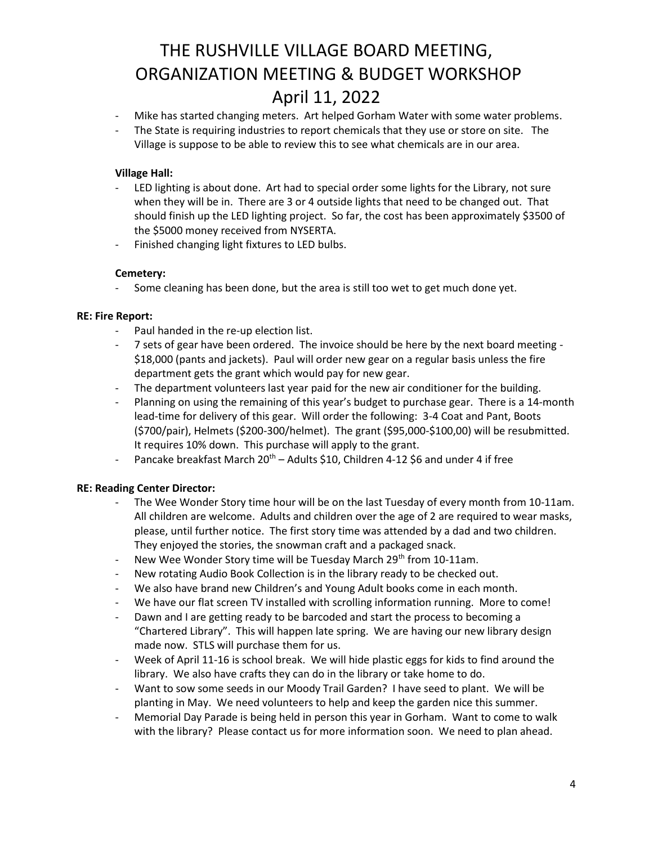- Mike has started changing meters. Art helped Gorham Water with some water problems.
- The State is requiring industries to report chemicals that they use or store on site. The Village is suppose to be able to review this to see what chemicals are in our area.

#### **Village Hall:**

- LED lighting is about done. Art had to special order some lights for the Library, not sure when they will be in. There are 3 or 4 outside lights that need to be changed out. That should finish up the LED lighting project. So far, the cost has been approximately \$3500 of the \$5000 money received from NYSERTA.
- Finished changing light fixtures to LED bulbs.

#### **Cemetery:**

Some cleaning has been done, but the area is still too wet to get much done yet.

#### **RE: Fire Report:**

- Paul handed in the re-up election list.
- 7 sets of gear have been ordered. The invoice should be here by the next board meeting \$18,000 (pants and jackets). Paul will order new gear on a regular basis unless the fire department gets the grant which would pay for new gear.
- The department volunteers last year paid for the new air conditioner for the building.
- Planning on using the remaining of this year's budget to purchase gear. There is a 14-month lead-time for delivery of this gear. Will order the following: 3-4 Coat and Pant, Boots (\$700/pair), Helmets (\$200-300/helmet). The grant (\$95,000-\$100,00) will be resubmitted. It requires 10% down. This purchase will apply to the grant.
- Pancake breakfast March 20<sup>th</sup> Adults \$10, Children 4-12 \$6 and under 4 if free

### **RE: Reading Center Director:**

- The Wee Wonder Story time hour will be on the last Tuesday of every month from 10-11am. All children are welcome. Adults and children over the age of 2 are required to wear masks, please, until further notice. The first story time was attended by a dad and two children. They enjoyed the stories, the snowman craft and a packaged snack.
- New Wee Wonder Story time will be Tuesday March 29<sup>th</sup> from 10-11am.
- New rotating Audio Book Collection is in the library ready to be checked out.
- We also have brand new Children's and Young Adult books come in each month.
- We have our flat screen TV installed with scrolling information running. More to come!
- Dawn and I are getting ready to be barcoded and start the process to becoming a "Chartered Library". This will happen late spring. We are having our new library design made now. STLS will purchase them for us.
- Week of April 11-16 is school break. We will hide plastic eggs for kids to find around the library. We also have crafts they can do in the library or take home to do.
- Want to sow some seeds in our Moody Trail Garden? I have seed to plant. We will be planting in May. We need volunteers to help and keep the garden nice this summer.
- Memorial Day Parade is being held in person this year in Gorham. Want to come to walk with the library? Please contact us for more information soon. We need to plan ahead.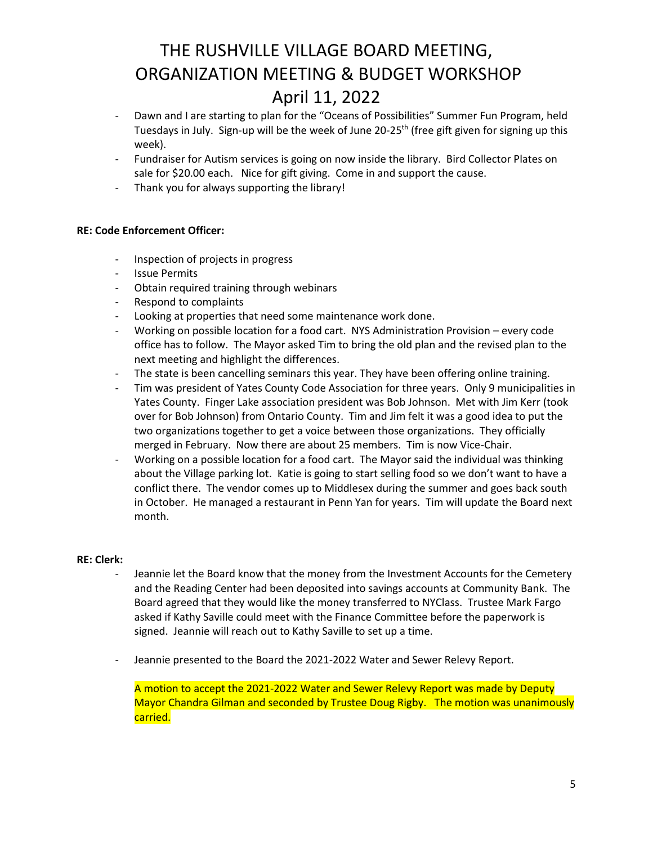- Dawn and I are starting to plan for the "Oceans of Possibilities" Summer Fun Program, held Tuesdays in July. Sign-up will be the week of June 20-25th (free gift given for signing up this week).
- Fundraiser for Autism services is going on now inside the library. Bird Collector Plates on sale for \$20.00 each. Nice for gift giving. Come in and support the cause.
- Thank you for always supporting the library!

#### **RE: Code Enforcement Officer:**

- Inspection of projects in progress
- Issue Permits
- Obtain required training through webinars
- Respond to complaints
- Looking at properties that need some maintenance work done.
- Working on possible location for a food cart. NYS Administration Provision every code office has to follow. The Mayor asked Tim to bring the old plan and the revised plan to the next meeting and highlight the differences.
- The state is been cancelling seminars this year. They have been offering online training.
- Tim was president of Yates County Code Association for three years. Only 9 municipalities in Yates County. Finger Lake association president was Bob Johnson. Met with Jim Kerr (took over for Bob Johnson) from Ontario County. Tim and Jim felt it was a good idea to put the two organizations together to get a voice between those organizations. They officially merged in February. Now there are about 25 members. Tim is now Vice-Chair.
- Working on a possible location for a food cart. The Mayor said the individual was thinking about the Village parking lot. Katie is going to start selling food so we don't want to have a conflict there. The vendor comes up to Middlesex during the summer and goes back south in October. He managed a restaurant in Penn Yan for years. Tim will update the Board next month.

#### **RE: Clerk:**

- Jeannie let the Board know that the money from the Investment Accounts for the Cemetery and the Reading Center had been deposited into savings accounts at Community Bank. The Board agreed that they would like the money transferred to NYClass. Trustee Mark Fargo asked if Kathy Saville could meet with the Finance Committee before the paperwork is signed. Jeannie will reach out to Kathy Saville to set up a time.
- Jeannie presented to the Board the 2021-2022 Water and Sewer Relevy Report.

A motion to accept the 2021-2022 Water and Sewer Relevy Report was made by Deputy Mayor Chandra Gilman and seconded by Trustee Doug Rigby. The motion was unanimously carried.